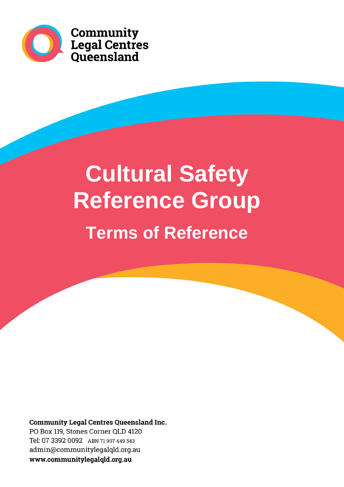

**Community<br>Legal Centres<br>Queensland** 

# **Cultural Safety Reference Group Terms of Reference**

**Community Legal Centres Queensland Inc.** 

PO Box 119, Stones Corner QLD 4120 Tel: 07 3392 0092 ABN 71 907 449 543 admin@communitylegalqld.org.au www.communitylegalqld.org.au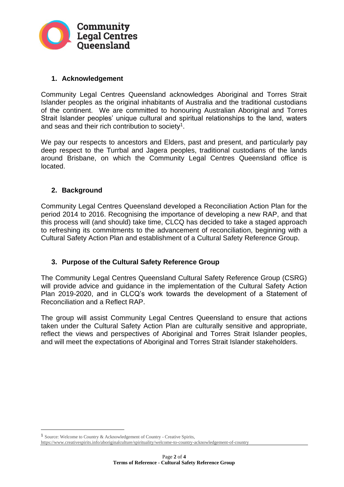

## **1. Acknowledgement**

Community Legal Centres Queensland acknowledges Aboriginal and Torres Strait Islander peoples as the original inhabitants of Australia and the traditional custodians of the continent. We are committed to honouring Australian Aboriginal and Torres Strait Islander peoples' unique cultural and spiritual relationships to the land, waters and seas and their rich contribution to society<sup>1</sup>.

We pay our respects to ancestors and Elders, past and present, and particularly pay deep respect to the Turrbal and Jagera peoples, traditional custodians of the lands around Brisbane, on which the Community Legal Centres Queensland office is located.

## **2. Background**

Community Legal Centres Queensland developed a Reconciliation Action Plan for the period 2014 to 2016. Recognising the importance of developing a new RAP, and that this process will (and should) take time, CLCQ has decided to take a staged approach to refreshing its commitments to the advancement of reconciliation, beginning with a Cultural Safety Action Plan and establishment of a Cultural Safety Reference Group.

## **3. Purpose of the Cultural Safety Reference Group**

The Community Legal Centres Queensland Cultural Safety Reference Group (CSRG) will provide advice and guidance in the implementation of the Cultural Safety Action Plan 2019-2020, and in CLCQ's work towards the development of a Statement of Reconciliation and a Reflect RAP.

The group will assist Community Legal Centres Queensland to ensure that actions taken under the Cultural Safety Action Plan are culturally sensitive and appropriate, reflect the views and perspectives of Aboriginal and Torres Strait Islander peoples, and will meet the expectations of Aboriginal and Torres Strait Islander stakeholders.

<sup>1</sup> Source: Welcome to Country & Acknowledgement of Country - Creative Spirits,

https://www.creativespirits.info/aboriginalculture/spirituality/welcome-to-country-acknowledgement-of-country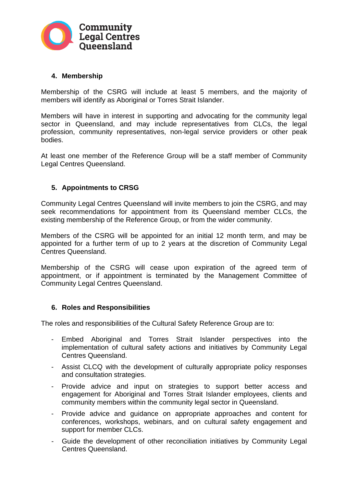

#### **4. Membership**

Membership of the CSRG will include at least 5 members, and the majority of members will identify as Aboriginal or Torres Strait Islander.

Members will have in interest in supporting and advocating for the community legal sector in Queensland, and may include representatives from CLCs, the legal profession, community representatives, non-legal service providers or other peak bodies.

At least one member of the Reference Group will be a staff member of Community Legal Centres Queensland.

#### **5. Appointments to CRSG**

Community Legal Centres Queensland will invite members to join the CSRG, and may seek recommendations for appointment from its Queensland member CLCs, the existing membership of the Reference Group, or from the wider community.

Members of the CSRG will be appointed for an initial 12 month term, and may be appointed for a further term of up to 2 years at the discretion of Community Legal Centres Queensland.

Membership of the CSRG will cease upon expiration of the agreed term of appointment, or if appointment is terminated by the Management Committee of Community Legal Centres Queensland.

#### **6. Roles and Responsibilities**

The roles and responsibilities of the Cultural Safety Reference Group are to:

- Embed Aboriginal and Torres Strait Islander perspectives into the implementation of cultural safety actions and initiatives by Community Legal Centres Queensland.
- Assist CLCQ with the development of culturally appropriate policy responses and consultation strategies.
- Provide advice and input on strategies to support better access and engagement for Aboriginal and Torres Strait Islander employees, clients and community members within the community legal sector in Queensland.
- Provide advice and guidance on appropriate approaches and content for conferences, workshops, webinars, and on cultural safety engagement and support for member CLCs.
- Guide the development of other reconciliation initiatives by Community Legal Centres Queensland.